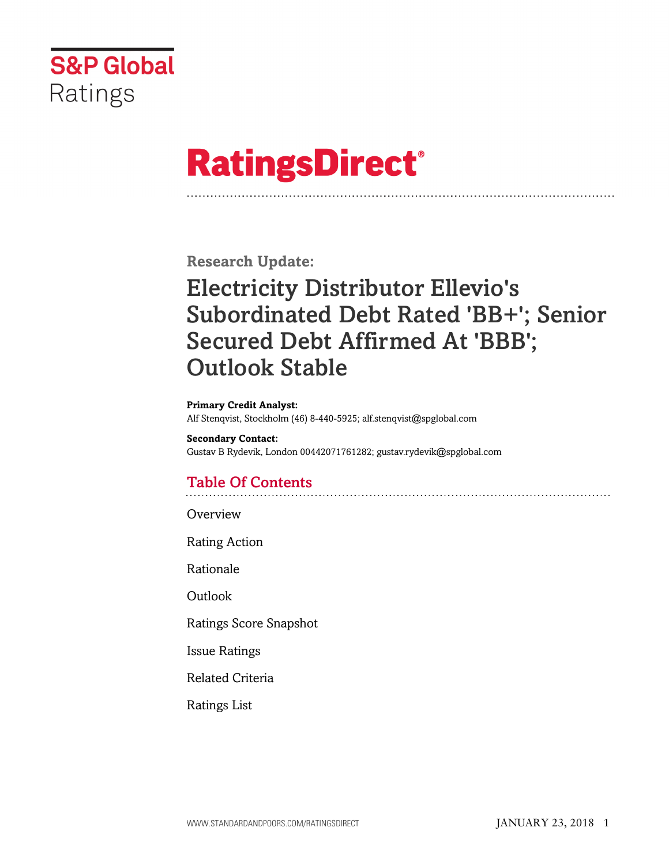

# **RatingsDirect®**

**Research Update:**

# Electricity Distributor Ellevio's Subordinated Debt Rated 'BB+'; Senior Secured Debt Affirmed At 'BBB'; Outlook Stable

**Primary Credit Analyst:**

Alf Stenqvist, Stockholm (46) 8-440-5925; alf.stenqvist@spglobal.com

**Secondary Contact:** Gustav B Rydevik, London 00442071761282; gustav.rydevik@spglobal.com

# Table Of Contents

**[Overview](#page-1-0)** 

[Rating Action](#page-1-1)

[Rationale](#page-1-2)

[Outlook](#page-3-0)

[Ratings Score Snapshot](#page-4-0)

[Issue Ratings](#page-4-1)

[Related Criteria](#page-5-0)

[Ratings List](#page-5-1)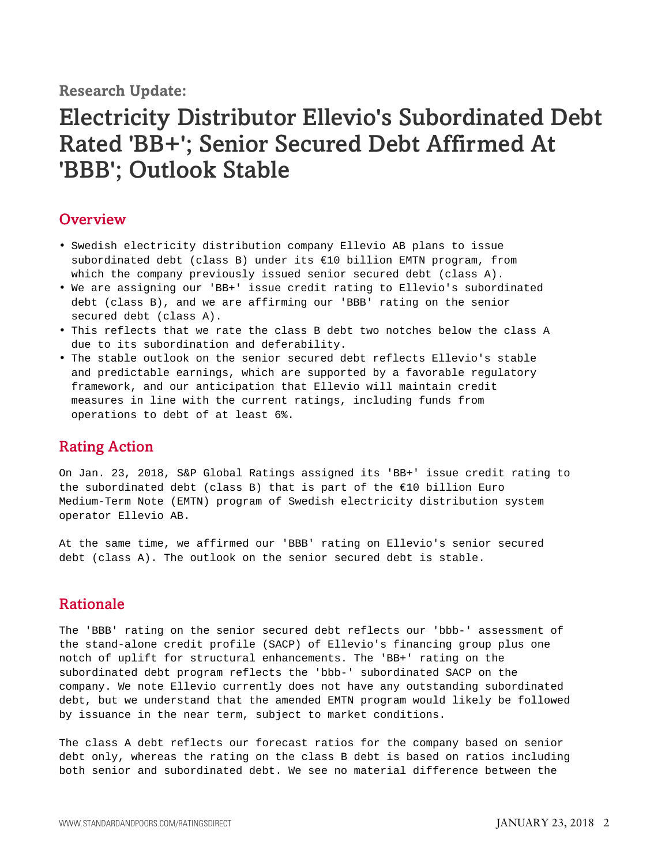**Research Update:**

# Electricity Distributor Ellevio's Subordinated Debt Rated 'BB+'; Senior Secured Debt Affirmed At 'BBB'; Outlook Stable

### <span id="page-1-0"></span>**Overview**

- Swedish electricity distribution company Ellevio AB plans to issue subordinated debt (class B) under its €10 billion EMTN program, from which the company previously issued senior secured debt (class A).
- We are assigning our 'BB+' issue credit rating to Ellevio's subordinated debt (class B), and we are affirming our 'BBB' rating on the senior secured debt (class A).
- This reflects that we rate the class B debt two notches below the class A due to its subordination and deferability.
- The stable outlook on the senior secured debt reflects Ellevio's stable and predictable earnings, which are supported by a favorable regulatory framework, and our anticipation that Ellevio will maintain credit measures in line with the current ratings, including funds from operations to debt of at least 6%.

#### <span id="page-1-1"></span>Rating Action

On Jan. 23, 2018, S&P Global Ratings assigned its 'BB+' issue credit rating to the subordinated debt (class B) that is part of the  $E10$  billion Euro Medium-Term Note (EMTN) program of Swedish electricity distribution system operator Ellevio AB.

At the same time, we affirmed our 'BBB' rating on Ellevio's senior secured debt (class A). The outlook on the senior secured debt is stable.

## <span id="page-1-2"></span>Rationale

The 'BBB' rating on the senior secured debt reflects our 'bbb-' assessment of the stand-alone credit profile (SACP) of Ellevio's financing group plus one notch of uplift for structural enhancements. The 'BB+' rating on the subordinated debt program reflects the 'bbb-' subordinated SACP on the company. We note Ellevio currently does not have any outstanding subordinated debt, but we understand that the amended EMTN program would likely be followed by issuance in the near term, subject to market conditions.

The class A debt reflects our forecast ratios for the company based on senior debt only, whereas the rating on the class B debt is based on ratios including both senior and subordinated debt. We see no material difference between the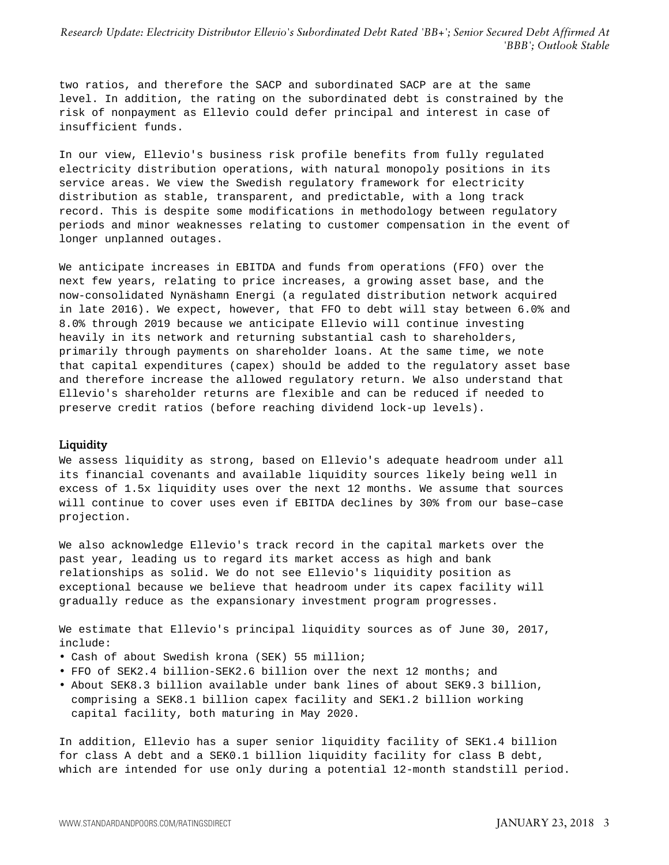two ratios, and therefore the SACP and subordinated SACP are at the same level. In addition, the rating on the subordinated debt is constrained by the risk of nonpayment as Ellevio could defer principal and interest in case of insufficient funds.

In our view, Ellevio's business risk profile benefits from fully regulated electricity distribution operations, with natural monopoly positions in its service areas. We view the Swedish regulatory framework for electricity distribution as stable, transparent, and predictable, with a long track record. This is despite some modifications in methodology between regulatory periods and minor weaknesses relating to customer compensation in the event of longer unplanned outages.

We anticipate increases in EBITDA and funds from operations (FFO) over the next few years, relating to price increases, a growing asset base, and the now-consolidated Nynäshamn Energi (a regulated distribution network acquired in late 2016). We expect, however, that FFO to debt will stay between 6.0% and 8.0% through 2019 because we anticipate Ellevio will continue investing heavily in its network and returning substantial cash to shareholders, primarily through payments on shareholder loans. At the same time, we note that capital expenditures (capex) should be added to the regulatory asset base and therefore increase the allowed regulatory return. We also understand that Ellevio's shareholder returns are flexible and can be reduced if needed to preserve credit ratios (before reaching dividend lock-up levels).

#### **Liquidity**

We assess liquidity as strong, based on Ellevio's adequate headroom under all its financial covenants and available liquidity sources likely being well in excess of 1.5x liquidity uses over the next 12 months. We assume that sources will continue to cover uses even if EBITDA declines by 30% from our base–case projection.

We also acknowledge Ellevio's track record in the capital markets over the past year, leading us to regard its market access as high and bank relationships as solid. We do not see Ellevio's liquidity position as exceptional because we believe that headroom under its capex facility will gradually reduce as the expansionary investment program progresses.

We estimate that Ellevio's principal liquidity sources as of June 30, 2017, include:

- Cash of about Swedish krona (SEK) 55 million;
- FFO of SEK2.4 billion-SEK2.6 billion over the next 12 months; and
- About SEK8.3 billion available under bank lines of about SEK9.3 billion, comprising a SEK8.1 billion capex facility and SEK1.2 billion working capital facility, both maturing in May 2020.

In addition, Ellevio has a super senior liquidity facility of SEK1.4 billion for class A debt and a SEK0.1 billion liquidity facility for class B debt, which are intended for use only during a potential 12-month standstill period.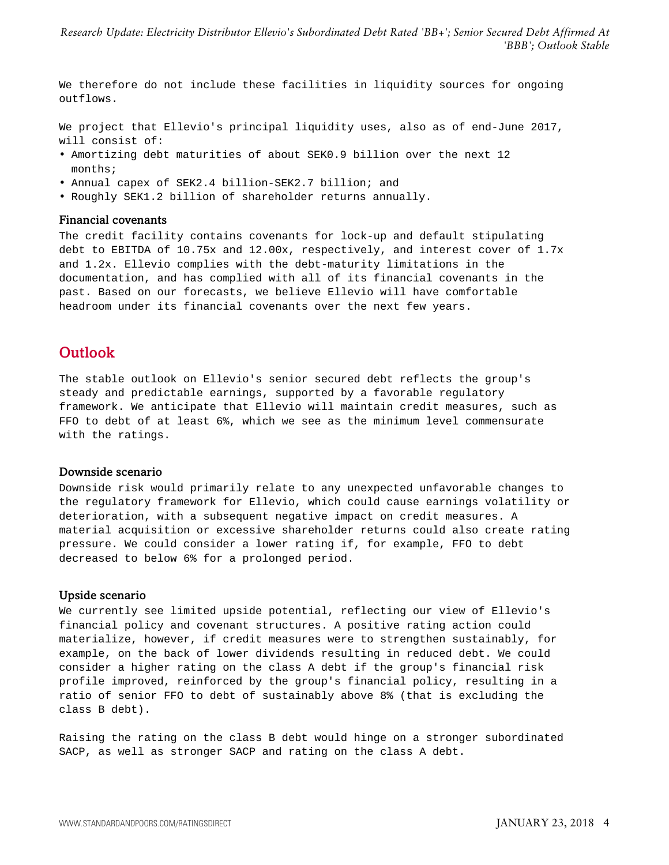We therefore do not include these facilities in liquidity sources for ongoing outflows.

We project that Ellevio's principal liquidity uses, also as of end-June 2017, will consist of:

- Amortizing debt maturities of about SEK0.9 billion over the next 12 months;
- Annual capex of SEK2.4 billion-SEK2.7 billion; and
- Roughly SEK1.2 billion of shareholder returns annually.

#### Financial covenants

The credit facility contains covenants for lock-up and default stipulating debt to EBITDA of 10.75x and 12.00x, respectively, and interest cover of 1.7x and 1.2x. Ellevio complies with the debt-maturity limitations in the documentation, and has complied with all of its financial covenants in the past. Based on our forecasts, we believe Ellevio will have comfortable headroom under its financial covenants over the next few years.

#### <span id="page-3-0"></span>Outlook

The stable outlook on Ellevio's senior secured debt reflects the group's steady and predictable earnings, supported by a favorable regulatory framework. We anticipate that Ellevio will maintain credit measures, such as FFO to debt of at least 6%, which we see as the minimum level commensurate with the ratings.

#### Downside scenario

Downside risk would primarily relate to any unexpected unfavorable changes to the regulatory framework for Ellevio, which could cause earnings volatility or deterioration, with a subsequent negative impact on credit measures. A material acquisition or excessive shareholder returns could also create rating pressure. We could consider a lower rating if, for example, FFO to debt decreased to below 6% for a prolonged period.

#### Upside scenario

We currently see limited upside potential, reflecting our view of Ellevio's financial policy and covenant structures. A positive rating action could materialize, however, if credit measures were to strengthen sustainably, for example, on the back of lower dividends resulting in reduced debt. We could consider a higher rating on the class A debt if the group's financial risk profile improved, reinforced by the group's financial policy, resulting in a ratio of senior FFO to debt of sustainably above 8% (that is excluding the class B debt).

Raising the rating on the class B debt would hinge on a stronger subordinated SACP, as well as stronger SACP and rating on the class A debt.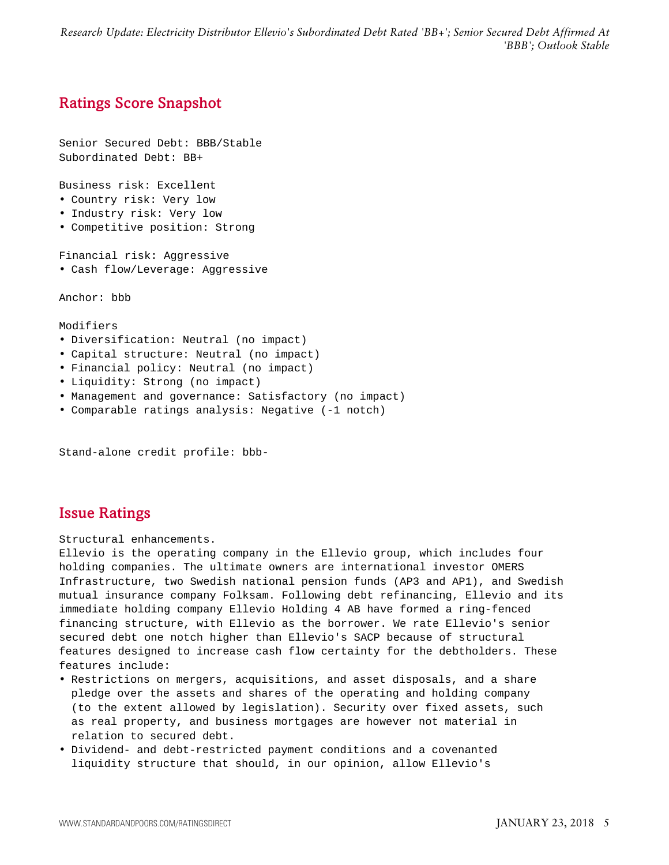# <span id="page-4-0"></span>Ratings Score Snapshot

Senior Secured Debt: BBB/Stable Subordinated Debt: BB+

Business risk: Excellent

- Country risk: Very low
- Industry risk: Very low
- Competitive position: Strong

Financial risk: Aggressive

• Cash flow/Leverage: Aggressive

Anchor: bbb

Modifiers

- Diversification: Neutral (no impact)
- Capital structure: Neutral (no impact)
- Financial policy: Neutral (no impact)
- Liquidity: Strong (no impact)
- Management and governance: Satisfactory (no impact)
- Comparable ratings analysis: Negative (-1 notch)

Stand-alone credit profile: bbb-

#### <span id="page-4-1"></span>Issue Ratings

Structural enhancements.

Ellevio is the operating company in the Ellevio group, which includes four holding companies. The ultimate owners are international investor OMERS Infrastructure, two Swedish national pension funds (AP3 and AP1), and Swedish mutual insurance company Folksam. Following debt refinancing, Ellevio and its immediate holding company Ellevio Holding 4 AB have formed a ring-fenced financing structure, with Ellevio as the borrower. We rate Ellevio's senior secured debt one notch higher than Ellevio's SACP because of structural features designed to increase cash flow certainty for the debtholders. These features include:

- Restrictions on mergers, acquisitions, and asset disposals, and a share pledge over the assets and shares of the operating and holding company (to the extent allowed by legislation). Security over fixed assets, such as real property, and business mortgages are however not material in relation to secured debt.
- Dividend- and debt-restricted payment conditions and a covenanted liquidity structure that should, in our opinion, allow Ellevio's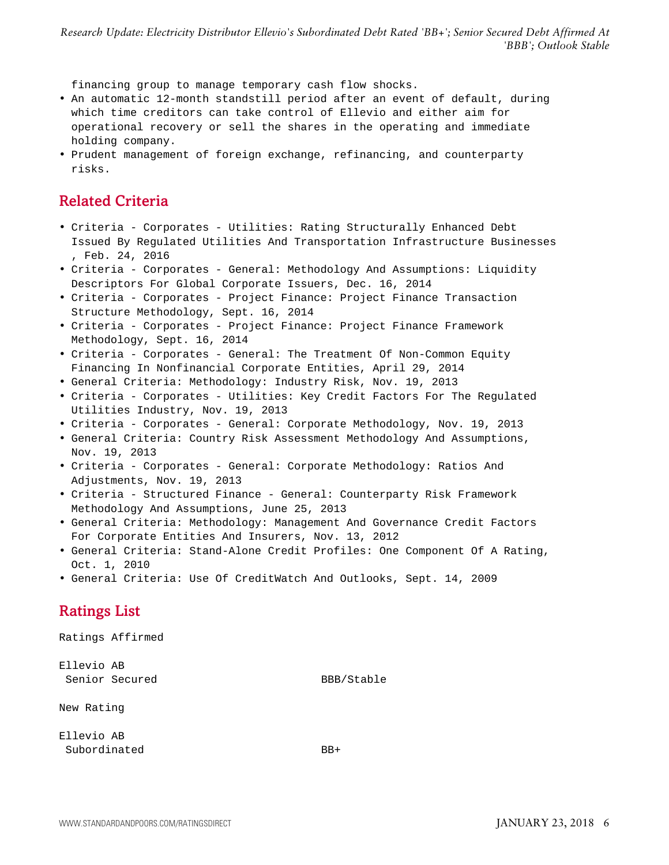financing group to manage temporary cash flow shocks.

- An automatic 12-month standstill period after an event of default, during which time creditors can take control of Ellevio and either aim for operational recovery or sell the shares in the operating and immediate holding company.
- <span id="page-5-0"></span>• Prudent management of foreign exchange, refinancing, and counterparty risks.

### Related Criteria

- Criteria Corporates Utilities: Rating Structurally Enhanced Debt Issued By Regulated Utilities And Transportation Infrastructure Businesses , Feb. 24, 2016
- Criteria Corporates General: Methodology And Assumptions: Liquidity Descriptors For Global Corporate Issuers, Dec. 16, 2014
- Criteria Corporates Project Finance: Project Finance Transaction Structure Methodology, Sept. 16, 2014
- Criteria Corporates Project Finance: Project Finance Framework Methodology, Sept. 16, 2014
- Criteria Corporates General: The Treatment Of Non-Common Equity Financing In Nonfinancial Corporate Entities, April 29, 2014
- General Criteria: Methodology: Industry Risk, Nov. 19, 2013
- Criteria Corporates Utilities: Key Credit Factors For The Regulated Utilities Industry, Nov. 19, 2013
- Criteria Corporates General: Corporate Methodology, Nov. 19, 2013
- General Criteria: Country Risk Assessment Methodology And Assumptions, Nov. 19, 2013
- Criteria Corporates General: Corporate Methodology: Ratios And Adjustments, Nov. 19, 2013
- Criteria Structured Finance General: Counterparty Risk Framework Methodology And Assumptions, June 25, 2013
- General Criteria: Methodology: Management And Governance Credit Factors For Corporate Entities And Insurers, Nov. 13, 2012
- General Criteria: Stand-Alone Credit Profiles: One Component Of A Rating, Oct. 1, 2010
- <span id="page-5-1"></span>• General Criteria: Use Of CreditWatch And Outlooks, Sept. 14, 2009

## Ratings List

Ratings Affirmed Ellevio AB

Senior Secured BBB/Stable

New Rating

Ellevio AB Subordinated BB+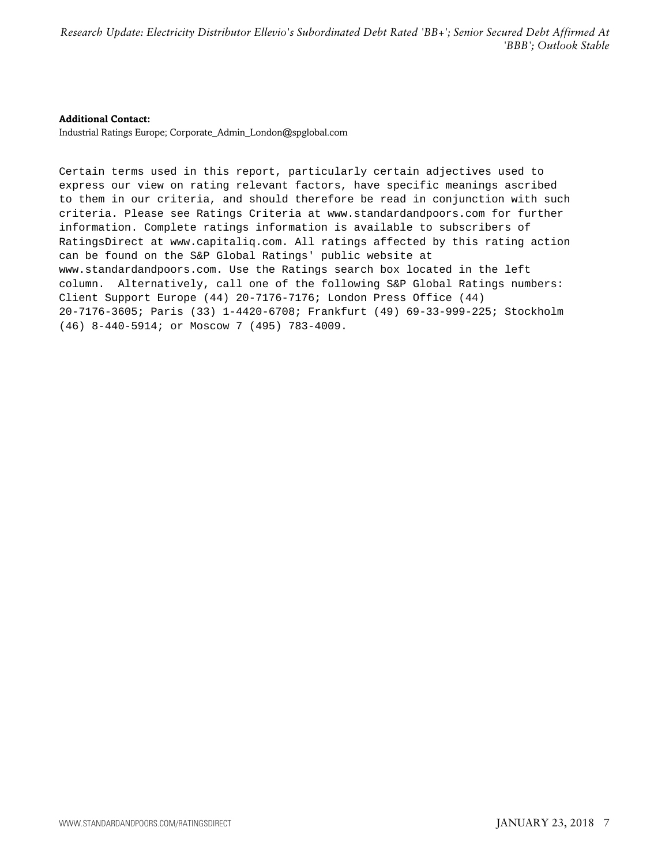#### **Additional Contact:**

Industrial Ratings Europe; Corporate\_Admin\_London@spglobal.com

Certain terms used in this report, particularly certain adjectives used to express our view on rating relevant factors, have specific meanings ascribed to them in our criteria, and should therefore be read in conjunction with such criteria. Please see Ratings Criteria at www.standardandpoors.com for further information. Complete ratings information is available to subscribers of RatingsDirect at www.capitaliq.com. All ratings affected by this rating action can be found on the S&P Global Ratings' public website at www.standardandpoors.com. Use the Ratings search box located in the left column. Alternatively, call one of the following S&P Global Ratings numbers: Client Support Europe (44) 20-7176-7176; London Press Office (44) 20-7176-3605; Paris (33) 1-4420-6708; Frankfurt (49) 69-33-999-225; Stockholm (46) 8-440-5914; or Moscow 7 (495) 783-4009.